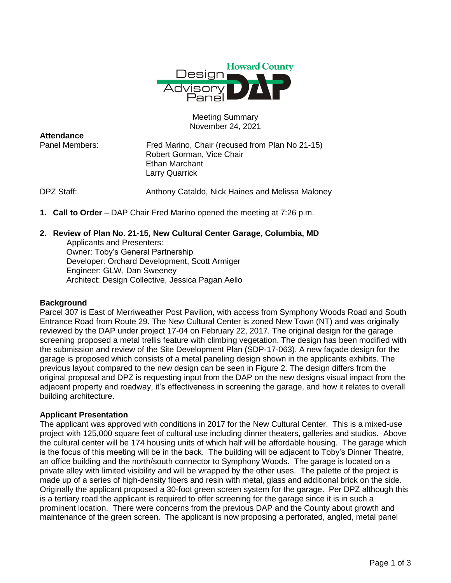

Meeting Summary November 24, 2021

**Attendance**

Panel Members: Fred Marino, Chair (recused from Plan No 21-15) Robert Gorman, Vice Chair Ethan Marchant Larry Quarrick

DPZ Staff: Anthony Cataldo, Nick Haines and Melissa Maloney

**1. Call to Order** – DAP Chair Fred Marino opened the meeting at 7:26 p.m.

# **2. Review of Plan No. 21-15, New Cultural Center Garage, Columbia, MD**

Applicants and Presenters: Owner: Toby's General Partnership Developer: Orchard Development, Scott Armiger Engineer: GLW, Dan Sweeney Architect: Design Collective, Jessica Pagan Aello

# **Background**

Parcel 307 is East of Merriweather Post Pavilion, with access from Symphony Woods Road and South Entrance Road from Route 29. The New Cultural Center is zoned New Town (NT) and was originally reviewed by the DAP under project 17-04 on February 22, 2017. The original design for the garage screening proposed a metal trellis feature with climbing vegetation. The design has been modified with the submission and review of the Site Development Plan (SDP-17-063). A new façade design for the garage is proposed which consists of a metal paneling design shown in the applicants exhibits. The previous layout compared to the new design can be seen in Figure 2. The design differs from the original proposal and DPZ is requesting input from the DAP on the new designs visual impact from the adjacent property and roadway, it's effectiveness in screening the garage, and how it relates to overall building architecture.

# **Applicant Presentation**

The applicant was approved with conditions in 2017 for the New Cultural Center. This is a mixed-use project with 125,000 square feet of cultural use including dinner theaters, galleries and studios. Above the cultural center will be 174 housing units of which half will be affordable housing. The garage which is the focus of this meeting will be in the back. The building will be adjacent to Toby's Dinner Theatre, an office building and the north/south connector to Symphony Woods. The garage is located on a private alley with limited visibility and will be wrapped by the other uses. The palette of the project is made up of a series of high-density fibers and resin with metal, glass and additional brick on the side. Originally the applicant proposed a 30-foot green screen system for the garage. Per DPZ although this is a tertiary road the applicant is required to offer screening for the garage since it is in such a prominent location. There were concerns from the previous DAP and the County about growth and maintenance of the green screen. The applicant is now proposing a perforated, angled, metal panel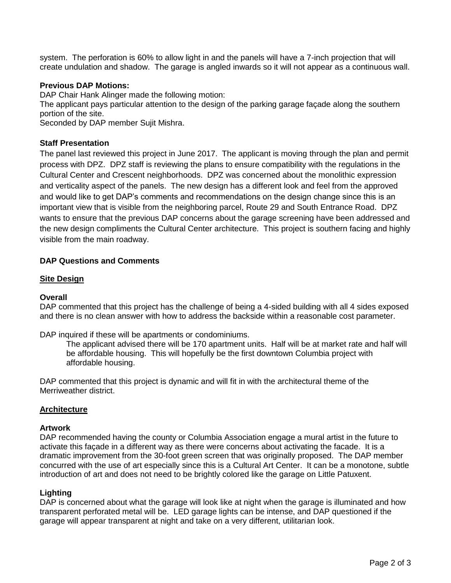system. The perforation is 60% to allow light in and the panels will have a 7-inch projection that will create undulation and shadow. The garage is angled inwards so it will not appear as a continuous wall.

## **Previous DAP Motions:**

DAP Chair Hank Alinger made the following motion: The applicant pays particular attention to the design of the parking garage façade along the southern portion of the site. Seconded by DAP member Sujit Mishra.

### **Staff Presentation**

The panel last reviewed this project in June 2017. The applicant is moving through the plan and permit process with DPZ. DPZ staff is reviewing the plans to ensure compatibility with the regulations in the Cultural Center and Crescent neighborhoods. DPZ was concerned about the monolithic expression and verticality aspect of the panels. The new design has a different look and feel from the approved and would like to get DAP's comments and recommendations on the design change since this is an important view that is visible from the neighboring parcel, Route 29 and South Entrance Road. DPZ wants to ensure that the previous DAP concerns about the garage screening have been addressed and the new design compliments the Cultural Center architecture. This project is southern facing and highly visible from the main roadway.

### **DAP Questions and Comments**

### **Site Design**

#### **Overall**

DAP commented that this project has the challenge of being a 4-sided building with all 4 sides exposed and there is no clean answer with how to address the backside within a reasonable cost parameter.

DAP inquired if these will be apartments or condominiums.

The applicant advised there will be 170 apartment units. Half will be at market rate and half will be affordable housing. This will hopefully be the first downtown Columbia project with affordable housing.

DAP commented that this project is dynamic and will fit in with the architectural theme of the Merriweather district.

#### **Architecture**

#### **Artwork**

DAP recommended having the county or Columbia Association engage a mural artist in the future to activate this façade in a different way as there were concerns about activating the facade. It is a dramatic improvement from the 30-foot green screen that was originally proposed. The DAP member concurred with the use of art especially since this is a Cultural Art Center. It can be a monotone, subtle introduction of art and does not need to be brightly colored like the garage on Little Patuxent.

#### **Lighting**

DAP is concerned about what the garage will look like at night when the garage is illuminated and how transparent perforated metal will be. LED garage lights can be intense, and DAP questioned if the garage will appear transparent at night and take on a very different, utilitarian look.